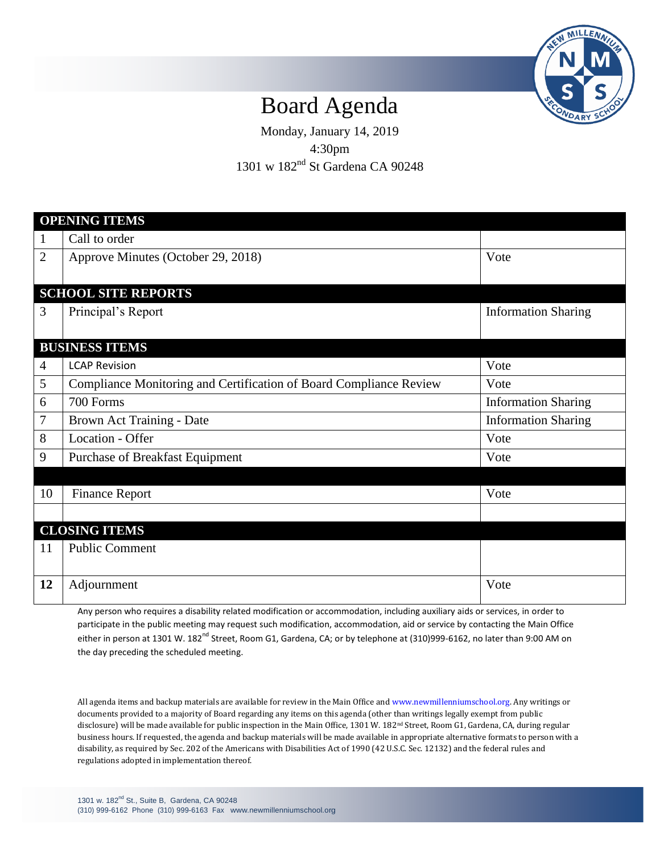

## Board Agenda

Monday, January 14, 2019 4:30pm 1301 w 182nd St Gardena CA 90248

| <b>OPENING ITEMS</b>       |                                                                    |                            |
|----------------------------|--------------------------------------------------------------------|----------------------------|
| $\mathbf{1}$               | Call to order                                                      |                            |
| $\overline{2}$             | Approve Minutes (October 29, 2018)                                 | Vote                       |
|                            |                                                                    |                            |
| <b>SCHOOL SITE REPORTS</b> |                                                                    |                            |
| 3                          | Principal's Report                                                 | <b>Information Sharing</b> |
|                            |                                                                    |                            |
| <b>BUSINESS ITEMS</b>      |                                                                    |                            |
| $\overline{4}$             | <b>LCAP Revision</b>                                               | Vote                       |
| 5                          | Compliance Monitoring and Certification of Board Compliance Review | Vote                       |
| 6                          | 700 Forms                                                          | <b>Information Sharing</b> |
| $\tau$                     | Brown Act Training - Date                                          | <b>Information Sharing</b> |
| 8                          | Location - Offer                                                   | Vote                       |
| 9                          | Purchase of Breakfast Equipment                                    | Vote                       |
|                            |                                                                    |                            |
| 10                         | <b>Finance Report</b>                                              | Vote                       |
|                            |                                                                    |                            |
| <b>CLOSING ITEMS</b>       |                                                                    |                            |
| 11                         | <b>Public Comment</b>                                              |                            |
|                            |                                                                    |                            |
| 12                         | Adjournment                                                        | Vote                       |
|                            |                                                                    |                            |

Any person who requires a disability related modification or accommodation, including auxiliary aids or services, in order to participate in the public meeting may request such modification, accommodation, aid or service by contacting the Main Office either in person at 1301 W. 182<sup>nd</sup> Street, Room G1, Gardena, CA; or by telephone at (310)999-6162, no later than 9:00 AM on the day preceding the scheduled meeting.

All agenda items and backup materials are available for review in the Main Office and [www.newmillenniumschool.org.](http://www.newmillenniumschool.org/) Any writings or documents provided to a majority of Board regarding any items on this agenda (other than writings legally exempt from public disclosure) will be made available for public inspection in the Main Office, 1301 W. 182nd Street, Room G1, Gardena, CA, during regular business hours. If requested, the agenda and backup materials will be made available in appropriate alternative formats to person with a disability, as required by Sec. 202 of the Americans with Disabilities Act of 1990 (42 U.S.C. Sec. 12132) and the federal rules and regulations adopted in implementation thereof.